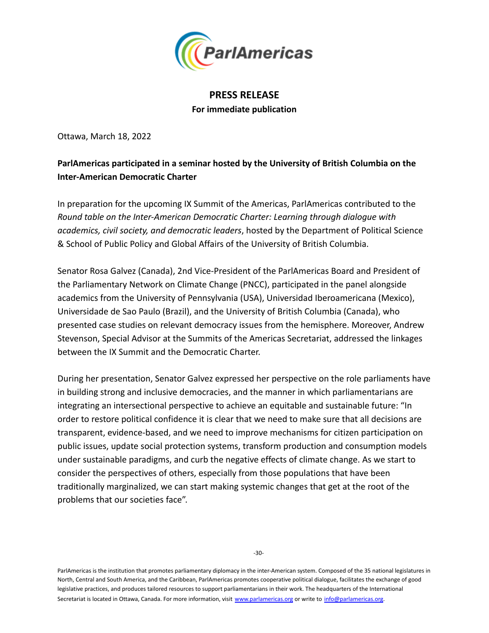

## **PRESS RELEASE For immediate publication**

Ottawa, March 18, 2022

## **ParlAmericas participated in a seminar hosted by the University of British Columbia on the Inter-American Democratic Charter**

In preparation for the upcoming IX Summit of the Americas, ParlAmericas contributed to the *Round table on the Inter-American Democratic Charter: Learning through dialogue with academics, civil society, and democratic leaders*, hosted by the Department of Political Science & School of Public Policy and Global Affairs of the University of British Columbia.

Senator Rosa Galvez (Canada), 2nd Vice-President of the ParlAmericas Board and President of the Parliamentary Network on Climate Change (PNCC), participated in the panel alongside academics from the University of Pennsylvania (USA), Universidad Iberoamericana (Mexico), Universidade de Sao Paulo (Brazil), and the University of British Columbia (Canada), who presented case studies on relevant democracy issues from the hemisphere. Moreover, Andrew Stevenson, Special Advisor at the Summits of the Americas Secretariat, addressed the linkages between the IX Summit and the Democratic Charter.

During her presentation, Senator Galvez expressed her perspective on the role parliaments have in building strong and inclusive democracies, and the manner in which parliamentarians are integrating an intersectional perspective to achieve an equitable and sustainable future: "In order to restore political confidence it is clear that we need to make sure that all decisions are transparent, evidence-based, and we need to improve mechanisms for citizen participation on public issues, update social protection systems, transform production and consumption models under sustainable paradigms, and curb the negative effects of climate change. As we start to consider the perspectives of others, especially from those populations that have been traditionally marginalized, we can start making systemic changes that get at the root of the problems that our societies face".

ParlAmericas is the institution that promotes parliamentary diplomacy in the inter-American system. Composed of the 35 national legislatures in North, Central and South America, and the Caribbean, ParlAmericas promotes cooperative political dialogue, facilitates the exchange of good legislative practices, and produces tailored resources to support parliamentarians in their work. The headquarters of the International Secretariat is located in Ottawa, Canada. For more information, visit www.parlamericas.org or write to info@parlamericas.org.